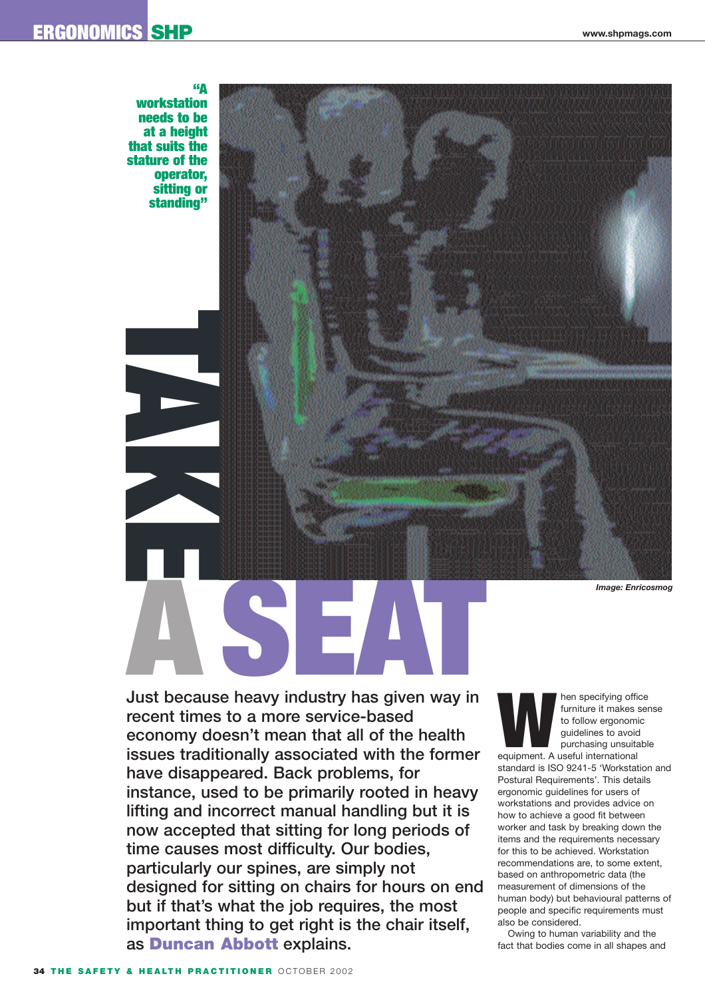## **ERGONOMICS SHP www.shpmags.com**



**Just because heavy industry has given way in recent times to a more service-based economy doesn't mean that all of the health issues traditionally associated with the former have disappeared. Back problems, for instance, used to be primarily rooted in heavy lifting and incorrect manual handling but it is now accepted that sitting for long periods of time causes most difficulty. Our bodies, particularly our spines, are simply not designed for sitting on chairs for hours on end but if that's what the job requires, the most important thing to get right is the chair itself, as Duncan Abbott explains.** 

**Market School School Separation**<br>
to follow ergonomic<br>
guidelines to avoid<br>
purchasing unsuitable<br>
equipment. A useful international furniture it makes sense to follow ergonomic guidelines to avoid purchasing unsuitable

standard is ISO 9241-5 'Workstation and Postural Requirements'. This details ergonomic guidelines for users of workstations and provides advice on how to achieve a good fit between worker and task by breaking down the items and the requirements necessary for this to be achieved. Workstation recommendations are, to some extent, based on anthropometric data (the measurement of dimensions of the human body) but behavioural patterns of people and specific requirements must also be considered.

Owing to human variability and the fact that bodies come in all shapes and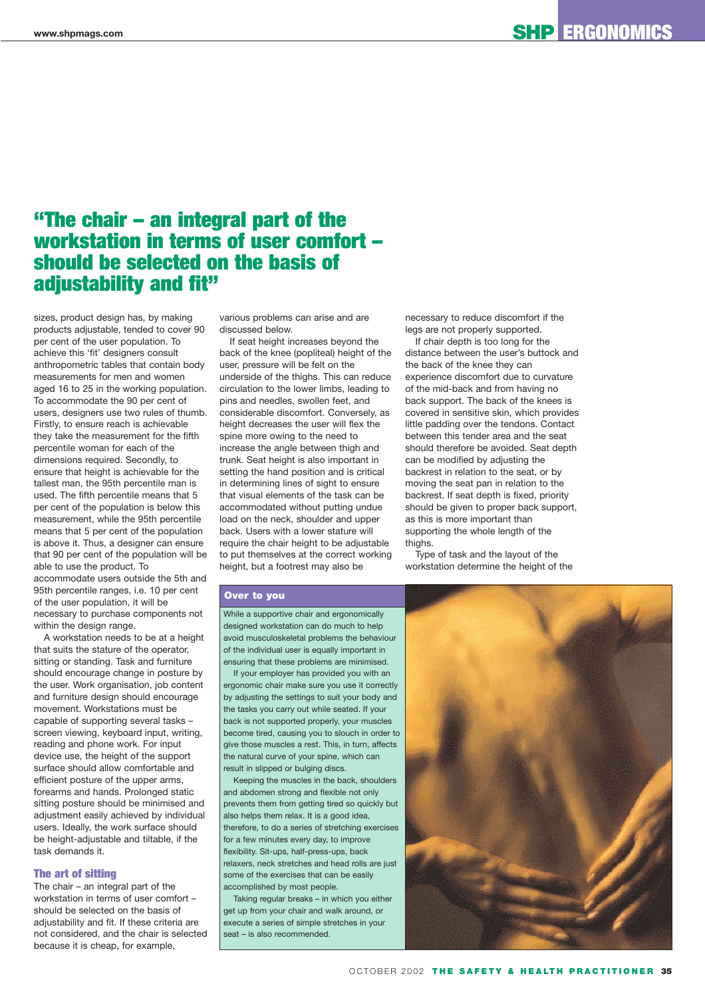# **"The chair – an integral part of the workstation in terms of user comfort – should be selected on the basis of adjustability and fit"**

sizes, product design has, by making products adjustable, tended to cover 90 per cent of the user population. To achieve this 'fit' designers consult anthropometric tables that contain body measurements for men and women aged 16 to 25 in the working population. To accommodate the 90 per cent of users, designers use two rules of thumb. Firstly, to ensure reach is achievable they take the measurement for the fifth percentile woman for each of the dimensions required. Secondly, to ensure that height is achievable for the tallest man, the 95th percentile man is used. The fifth percentile means that 5 per cent of the population is below this measurement, while the 95th percentile means that 5 per cent of the population is above it. Thus, a designer can ensure that 90 per cent of the population will be able to use the product. To accommodate users outside the 5th and 95th percentile ranges, i.e. 10 per cent of the user population, it will be necessary to purchase components not within the design range.

A workstation needs to be at a height that suits the stature of the operator, sitting or standing. Task and furniture should encourage change in posture by the user. Work organisation, job content and furniture design should encourage movement. Workstations must be capable of supporting several tasks – screen viewing, keyboard input, writing, reading and phone work. For input device use, the height of the support surface should allow comfortable and efficient posture of the upper arms, forearms and hands. Prolonged static sitting posture should be minimised and adjustment easily achieved by individual users. Ideally, the work surface should be height-adjustable and tiltable, if the task demands it.

### **The art of sitting**

The chair – an integral part of the workstation in terms of user comfort – should be selected on the basis of adiustability and fit. If these criteria are not considered, and the chair is selected because it is cheap, for example,

various problems can arise and are discussed below.

If seat height increases beyond the back of the knee (popliteal) height of the user, pressure will be felt on the underside of the thighs. This can reduce circulation to the lower limbs, leading to pins and needles, swollen feet, and considerable discomfort. Conversely, as height decreases the user will flex the spine more owing to the need to increase the angle between thigh and trunk. Seat height is also important in setting the hand position and is critical in determining lines of sight to ensure that visual elements of the task can be accommodated without putting undue load on the neck, shoulder and upper back. Users with a lower stature will require the chair height to be adjustable to put themselves at the correct working height, but a footrest may also be

necessary to reduce discomfort if the legs are not properly supported.

If chair depth is too long for the distance between the user's buttock and the back of the knee they can experience discomfort due to curvature of the mid-back and from having no back support. The back of the knees is covered in sensitive skin, which provides little padding over the tendons. Contact between this tender area and the seat should therefore be avoided. Seat depth can be modified by adjusting the backrest in relation to the seat, or by moving the seat pan in relation to the backrest. If seat depth is fixed, priority should be given to proper back support, as this is more important than supporting the whole length of the thighs.

Type of task and the layout of the workstation determine the height of the

### **Over to you**

While a supportive chair and ergonomically designed workstation can do much to help avoid musculoskeletal problems the behaviour of the individual user is equally important in ensuring that these problems are minimised.

If your employer has provided you with an ergonomic chair make sure you use it correctly by adjusting the settings to suit your body and the tasks you carry out while seated. If your back is not supported properly, your muscles become tired, causing you to slouch in order to give those muscles a rest. This, in turn, affects the natural curve of your spine, which can result in slipped or bulging discs.

Keeping the muscles in the back, shoulders and abdomen strong and flexible not only prevents them from getting tired so quickly but also helps them relax. It is a good idea, therefore, to do a series of stretching exercises for a few minutes every day, to improve flexibility. Sit-ups, half-press-ups, back relaxers, neck stretches and head rolls are just some of the exercises that can be easily accomplished by most people.

Taking regular breaks – in which you either get up from your chair and walk around, or execute a series of simple stretches in your seat – is also recommended.